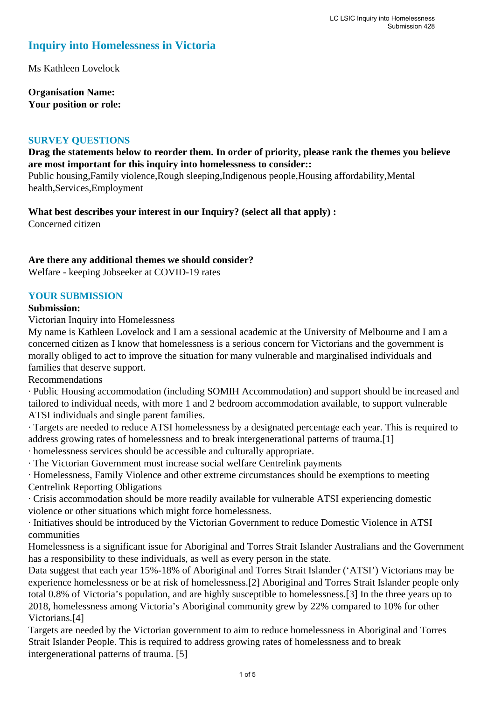# **Inquiry into Homelessness in Victoria**

Ms Kathleen Lovelock

**Organisation Name: Your position or role:** 

#### **SURVEY QUESTIONS**

## **Drag the statements below to reorder them. In order of priority, please rank the themes you believe are most important for this inquiry into homelessness to consider::**

Public housing,Family violence,Rough sleeping,Indigenous people,Housing affordability,Mental health,Services,Employment

**What best describes your interest in our Inquiry? (select all that apply) :**  Concerned citizen

**Are there any additional themes we should consider?**

Welfare - keeping Jobseeker at COVID-19 rates

#### **YOUR SUBMISSION**

#### **Submission:**

Victorian Inquiry into Homelessness

My name is Kathleen Lovelock and I am a sessional academic at the University of Melbourne and I am a concerned citizen as I know that homelessness is a serious concern for Victorians and the government is morally obliged to act to improve the situation for many vulnerable and marginalised individuals and families that deserve support.

Recommendations

· Public Housing accommodation (including SOMIH Accommodation) and support should be increased and tailored to individual needs, with more 1 and 2 bedroom accommodation available, to support vulnerable ATSI individuals and single parent families.

· Targets are needed to reduce ATSI homelessness by a designated percentage each year. This is required to address growing rates of homelessness and to break intergenerational patterns of trauma.[1]

· homelessness services should be accessible and culturally appropriate.

· The Victorian Government must increase social welfare Centrelink payments

· Homelessness, Family Violence and other extreme circumstances should be exemptions to meeting Centrelink Reporting Obligations

· Crisis accommodation should be more readily available for vulnerable ATSI experiencing domestic violence or other situations which might force homelessness.

· Initiatives should be introduced by the Victorian Government to reduce Domestic Violence in ATSI communities

Homelessness is a significant issue for Aboriginal and Torres Strait Islander Australians and the Government has a responsibility to these individuals, as well as every person in the state.

Data suggest that each year 15%-18% of Aboriginal and Torres Strait Islander ('ATSI') Victorians may be experience homelessness or be at risk of homelessness.[2] Aboriginal and Torres Strait Islander people only total 0.8% of Victoria's population, and are highly susceptible to homelessness.[3] In the three years up to 2018, homelessness among Victoria's Aboriginal community grew by 22% compared to 10% for other Victorians.[4]

Targets are needed by the Victorian government to aim to reduce homelessness in Aboriginal and Torres Strait Islander People. This is required to address growing rates of homelessness and to break intergenerational patterns of trauma. [5]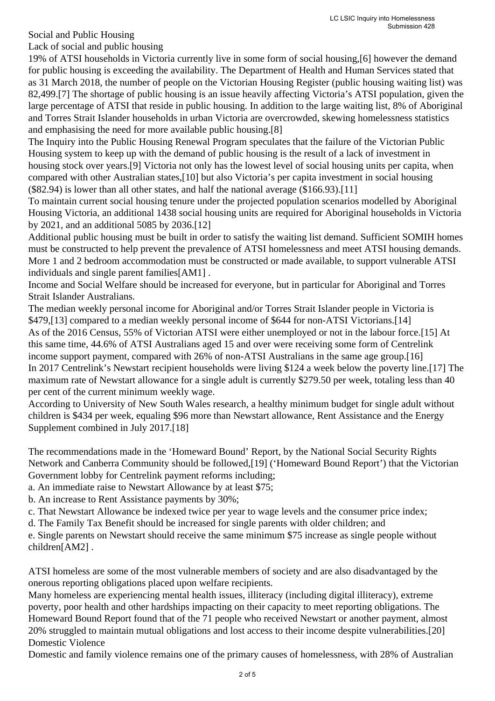Social and Public Housing

Lack of social and public housing

19% of ATSI households in Victoria currently live in some form of social housing,[6] however the demand for public housing is exceeding the availability. The Department of Health and Human Services stated that as 31 March 2018, the number of people on the Victorian Housing Register (public housing waiting list) was 82,499.[7] The shortage of public housing is an issue heavily affecting Victoria's ATSI population, given the large percentage of ATSI that reside in public housing. In addition to the large waiting list, 8% of Aboriginal and Torres Strait Islander households in urban Victoria are overcrowded, skewing homelessness statistics and emphasising the need for more available public housing.[8]

The Inquiry into the Public Housing Renewal Program speculates that the failure of the Victorian Public Housing system to keep up with the demand of public housing is the result of a lack of investment in housing stock over years.[9] Victoria not only has the lowest level of social housing units per capita, when compared with other Australian states,[10] but also Victoria's per capita investment in social housing (\$82.94) is lower than all other states, and half the national average (\$166.93).[11]

To maintain current social housing tenure under the projected population scenarios modelled by Aboriginal Housing Victoria, an additional 1438 social housing units are required for Aboriginal households in Victoria by 2021, and an additional 5085 by 2036.[12]

Additional public housing must be built in order to satisfy the waiting list demand. Sufficient SOMIH homes must be constructed to help prevent the prevalence of ATSI homelessness and meet ATSI housing demands. More 1 and 2 bedroom accommodation must be constructed or made available, to support vulnerable ATSI individuals and single parent families[AM1] .

Income and Social Welfare should be increased for everyone, but in particular for Aboriginal and Torres Strait Islander Australians.

The median weekly personal income for Aboriginal and/or Torres Strait Islander people in Victoria is \$479,[13] compared to a median weekly personal income of \$644 for non-ATSI Victorians.[14] As of the 2016 Census, 55% of Victorian ATSI were either unemployed or not in the labour force.[15] At this same time, 44.6% of ATSI Australians aged 15 and over were receiving some form of Centrelink income support payment, compared with 26% of non-ATSI Australians in the same age group.[16] In 2017 Centrelink's Newstart recipient households were living \$124 a week below the poverty line.[17] The maximum rate of Newstart allowance for a single adult is currently \$279.50 per week, totaling less than 40 per cent of the current minimum weekly wage.

According to University of New South Wales research, a healthy minimum budget for single adult without children is \$434 per week, equaling \$96 more than Newstart allowance, Rent Assistance and the Energy Supplement combined in July 2017.[18]

The recommendations made in the 'Homeward Bound' Report, by the National Social Security Rights Network and Canberra Community should be followed,[19] ('Homeward Bound Report') that the Victorian Government lobby for Centrelink payment reforms including;

a. An immediate raise to Newstart Allowance by at least \$75;

b. An increase to Rent Assistance payments by 30%;

c. That Newstart Allowance be indexed twice per year to wage levels and the consumer price index;

d. The Family Tax Benefit should be increased for single parents with older children; and

e. Single parents on Newstart should receive the same minimum \$75 increase as single people without children[AM2] .

ATSI homeless are some of the most vulnerable members of society and are also disadvantaged by the onerous reporting obligations placed upon welfare recipients.

Many homeless are experiencing mental health issues, illiteracy (including digital illiteracy), extreme poverty, poor health and other hardships impacting on their capacity to meet reporting obligations. The Homeward Bound Report found that of the 71 people who received Newstart or another payment, almost 20% struggled to maintain mutual obligations and lost access to their income despite vulnerabilities.[20] Domestic Violence

Domestic and family violence remains one of the primary causes of homelessness, with 28% of Australian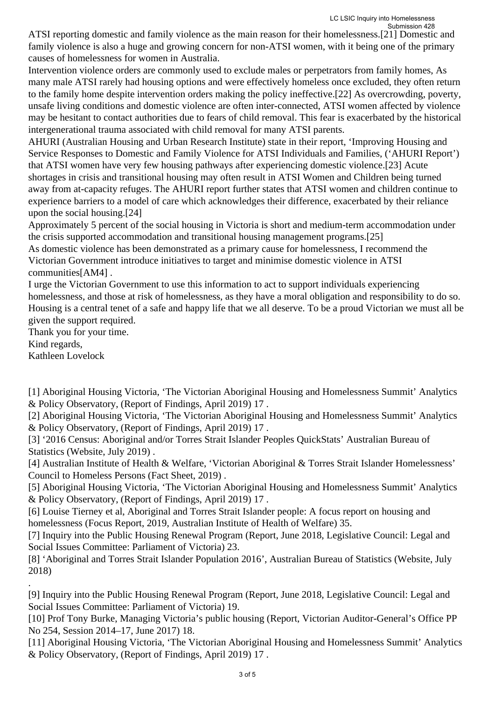ATSI reporting domestic and family violence as the main reason for their homelessness.[21] Domestic and family violence is also a huge and growing concern for non-ATSI women, with it being one of the primary causes of homelessness for women in Australia.

Intervention violence orders are commonly used to exclude males or perpetrators from family homes, As many male ATSI rarely had housing options and were effectively homeless once excluded, they often return to the family home despite intervention orders making the policy ineffective.[22] As overcrowding, poverty, unsafe living conditions and domestic violence are often inter-connected, ATSI women affected by violence may be hesitant to contact authorities due to fears of child removal. This fear is exacerbated by the historical intergenerational trauma associated with child removal for many ATSI parents.

AHURI (Australian Housing and Urban Research Institute) state in their report, 'Improving Housing and Service Responses to Domestic and Family Violence for ATSI Individuals and Families, ('AHURI Report') that ATSI women have very few housing pathways after experiencing domestic violence.[23] Acute shortages in crisis and transitional housing may often result in ATSI Women and Children being turned away from at-capacity refuges. The AHURI report further states that ATSI women and children continue to experience barriers to a model of care which acknowledges their difference, exacerbated by their reliance upon the social housing.[24]

Approximately 5 percent of the social housing in Victoria is short and medium-term accommodation under the crisis supported accommodation and transitional housing management programs.[25]

As domestic violence has been demonstrated as a primary cause for homelessness, I recommend the Victorian Government introduce initiatives to target and minimise domestic violence in ATSI communities[AM4] .

I urge the Victorian Government to use this information to act to support individuals experiencing homelessness, and those at risk of homelessness, as they have a moral obligation and responsibility to do so. Housing is a central tenet of a safe and happy life that we all deserve. To be a proud Victorian we must all be given the support required.

Thank you for your time.

Kind regards,

.

Kathleen Lovelock

[1] Aboriginal Housing Victoria, 'The Victorian Aboriginal Housing and Homelessness Summit' Analytics & Policy Observatory, (Report of Findings, April 2019) 17 .

[2] Aboriginal Housing Victoria, 'The Victorian Aboriginal Housing and Homelessness Summit' Analytics & Policy Observatory, (Report of Findings, April 2019) 17 .

[3] '2016 Census: Aboriginal and/or Torres Strait Islander Peoples QuickStats' Australian Bureau of Statistics (Website, July 2019) .

[4] Australian Institute of Health & Welfare, 'Victorian Aboriginal & Torres Strait Islander Homelessness' Council to Homeless Persons (Fact Sheet, 2019) .

[5] Aboriginal Housing Victoria, 'The Victorian Aboriginal Housing and Homelessness Summit' Analytics & Policy Observatory, (Report of Findings, April 2019) 17 .

[6] Louise Tierney et al, Aboriginal and Torres Strait Islander people: A focus report on housing and homelessness (Focus Report, 2019, Australian Institute of Health of Welfare) 35.

[7] Inquiry into the Public Housing Renewal Program (Report, June 2018, Legislative Council: Legal and Social Issues Committee: Parliament of Victoria) 23.

[8] 'Aboriginal and Torres Strait Islander Population 2016', Australian Bureau of Statistics (Website, July 2018)

[9] Inquiry into the Public Housing Renewal Program (Report, June 2018, Legislative Council: Legal and Social Issues Committee: Parliament of Victoria) 19.

[10] Prof Tony Burke, Managing Victoria's public housing (Report, Victorian Auditor-General's Office PP No 254, Session 2014–17, June 2017) 18.

[11] Aboriginal Housing Victoria, 'The Victorian Aboriginal Housing and Homelessness Summit' Analytics & Policy Observatory, (Report of Findings, April 2019) 17 .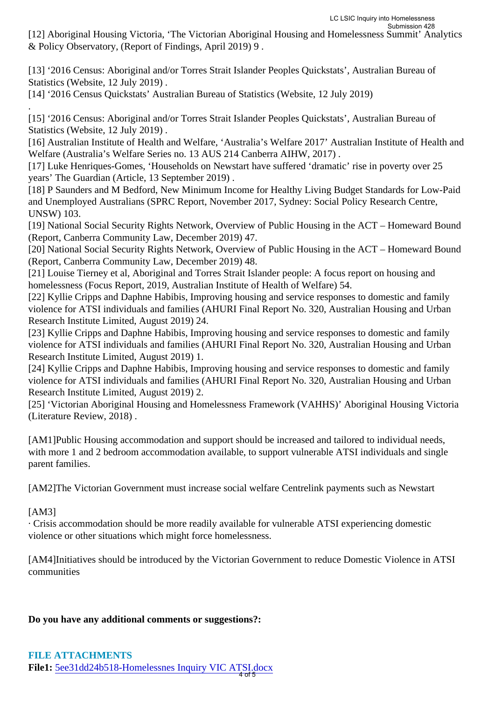[12] Aboriginal Housing Victoria, 'The Victorian Aboriginal Housing and Homelessness Summit' Analytics & Policy Observatory, (Report of Findings, April 2019) 9 .

[13] '2016 Census: Aboriginal and/or Torres Strait Islander Peoples Quickstats', Australian Bureau of Statistics (Website, 12 July 2019) .

[14] '2016 Census Quickstats' Australian Bureau of Statistics (Website, 12 July 2019)

. [15] '2016 Census: Aboriginal and/or Torres Strait Islander Peoples Quickstats', Australian Bureau of Statistics (Website, 12 July 2019) .

[16] Australian Institute of Health and Welfare, 'Australia's Welfare 2017' Australian Institute of Health and Welfare (Australia's Welfare Series no. 13 AUS 214 Canberra AIHW, 2017) .

[17] Luke Henriques-Gomes, 'Households on Newstart have suffered 'dramatic' rise in poverty over 25 years' The Guardian (Article, 13 September 2019) .

[18] P Saunders and M Bedford, New Minimum Income for Healthy Living Budget Standards for Low-Paid and Unemployed Australians (SPRC Report, November 2017, Sydney: Social Policy Research Centre, UNSW) 103.

[19] National Social Security Rights Network, Overview of Public Housing in the ACT – Homeward Bound (Report, Canberra Community Law, December 2019) 47.

[20] National Social Security Rights Network, Overview of Public Housing in the ACT – Homeward Bound (Report, Canberra Community Law, December 2019) 48.

[21] Louise Tierney et al, Aboriginal and Torres Strait Islander people: A focus report on housing and homelessness (Focus Report, 2019, Australian Institute of Health of Welfare) 54.

[22] Kyllie Cripps and Daphne Habibis, Improving housing and service responses to domestic and family violence for ATSI individuals and families (AHURI Final Report No. 320, Australian Housing and Urban Research Institute Limited, August 2019) 24.

[23] Kyllie Cripps and Daphne Habibis, Improving housing and service responses to domestic and family violence for ATSI individuals and families (AHURI Final Report No. 320, Australian Housing and Urban Research Institute Limited, August 2019) 1.

[24] Kyllie Cripps and Daphne Habibis, Improving housing and service responses to domestic and family violence for ATSI individuals and families (AHURI Final Report No. 320, Australian Housing and Urban Research Institute Limited, August 2019) 2.

[25] 'Victorian Aboriginal Housing and Homelessness Framework (VAHHS)' Aboriginal Housing Victoria (Literature Review, 2018) .

[AM1]Public Housing accommodation and support should be increased and tailored to individual needs, with more 1 and 2 bedroom accommodation available, to support vulnerable ATSI individuals and single parent families.

[AM2]The Victorian Government must increase social welfare Centrelink payments such as Newstart

[AM3]

· Crisis accommodation should be more readily available for vulnerable ATSI experiencing domestic violence or other situations which might force homelessness.

[AM4]Initiatives should be introduced by the Victorian Government to reduce Domestic Violence in ATSI communities

## **Do you have any additional comments or suggestions?:**